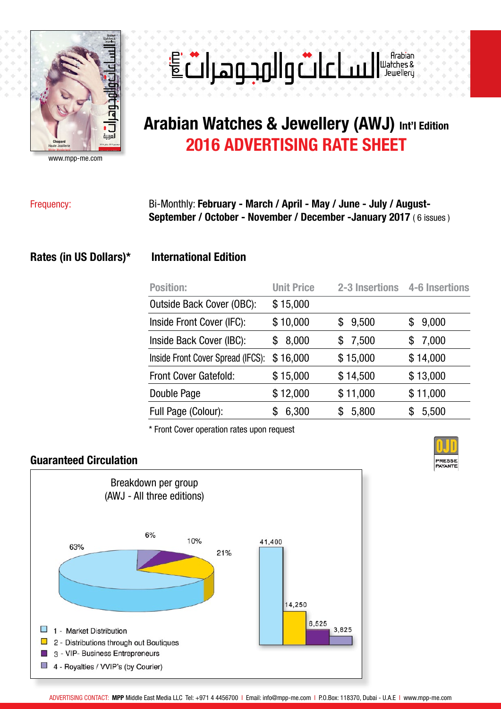

www.mpp-me.com

# E dlag null a change

# **Arabian Watches & Jewellery (AWJ) Int'l Edition 2016 ADVERTISING RATE SHEET**

## Frequency: Bi-Monthly: **February - March / April - May / June - July / August-September / October - November / December -January 2017** ( 6 issues )

#### **Rates (in US Dollars)\* International Edition**

| <b>Position:</b>                  | <b>Unit Price</b> | 2-3 Insertions | 4-6 Insertions |
|-----------------------------------|-------------------|----------------|----------------|
| Outside Back Cover (OBC):         | \$15,000          |                |                |
| Inside Front Cover (IFC):         | \$10,000          | 9,500<br>\$    | 9,000<br>\$    |
| Inside Back Cover (IBC):          | 8,000<br>\$       | 7,500<br>\$    | 7,000<br>\$    |
| Inside Front Cover Spread (IFCS): | \$16,000          | \$15,000       | \$14,000       |
| <b>Front Cover Gatefold:</b>      | \$15,000          | \$14,500       | \$13,000       |
| Double Page                       | \$12,000          | \$11,000       | \$11,000       |
| Full Page (Colour):               | 6,300             | 5,800<br>S     | 5,500          |

\* Front Cover operation rates upon request

#### **Guaranteed Circulation**





ADVERTISING CONTACT: **MPP** Middle East Media LLC Tel: +971 4 4456700 I Email: info@mpp-me.com I P.O.Box: 118370, Dubai - U.A.E I www.mpp-me.com